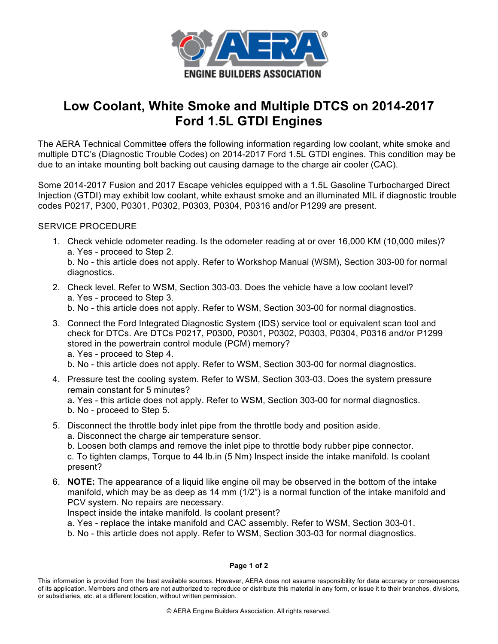

## **Low Coolant, White Smoke and Multiple DTCS on 2014-2017 Ford 1.5L GTDI Engines**

The AERA Technical Committee offers the following information regarding low coolant, white smoke and multiple DTC's (Diagnostic Trouble Codes) on 2014-2017 Ford 1.5L GTDI engines. This condition may be due to an intake mounting bolt backing out causing damage to the charge air cooler (CAC).

Some 2014-2017 Fusion and 2017 Escape vehicles equipped with a 1.5L Gasoline Turbocharged Direct Injection (GTDI) may exhibit low coolant, white exhaust smoke and an illuminated MIL if diagnostic trouble codes P0217, P300, P0301, P0302, P0303, P0304, P0316 and/or P1299 are present.

## SERVICE PROCEDURE

- 1. Check vehicle odometer reading. Is the odometer reading at or over 16,000 KM (10,000 miles)? a. Yes - proceed to Step 2. b. No - this article does not apply. Refer to Workshop Manual (WSM), Section 303-00 for normal diagnostics.
- 2. Check level. Refer to WSM, Section 303-03. Does the vehicle have a low coolant level? a. Yes - proceed to Step 3.

b. No - this article does not apply. Refer to WSM, Section 303-00 for normal diagnostics.

- 3. Connect the Ford Integrated Diagnostic System (IDS) service tool or equivalent scan tool and check for DTCs. Are DTCs P0217, P0300, P0301, P0302, P0303, P0304, P0316 and/or P1299 stored in the powertrain control module (PCM) memory? a. Yes - proceed to Step 4.
	- b. No this article does not apply. Refer to WSM, Section 303-00 for normal diagnostics.
- 4. Pressure test the cooling system. Refer to WSM, Section 303-03. Does the system pressure remain constant for 5 minutes?
	- a. Yes this article does not apply. Refer to WSM, Section 303-00 for normal diagnostics. b. No - proceed to Step 5.
- 5. Disconnect the throttle body inlet pipe from the throttle body and position aside.
	- a. Disconnect the charge air temperature sensor.
	- b. Loosen both clamps and remove the inlet pipe to throttle body rubber pipe connector.

c. To tighten clamps, Torque to 44 lb.in (5 Nm) Inspect inside the intake manifold. Is coolant present?

6. **NOTE:** The appearance of a liquid like engine oil may be observed in the bottom of the intake manifold, which may be as deep as 14 mm (1/2") is a normal function of the intake manifold and PCV system. No repairs are necessary.

Inspect inside the intake manifold. Is coolant present?

- a. Yes replace the intake manifold and CAC assembly. Refer to WSM, Section 303-01.
- b. No this article does not apply. Refer to WSM, Section 303-03 for normal diagnostics.

## **Page 1 of 2**

This information is provided from the best available sources. However, AERA does not assume responsibility for data accuracy or consequences of its application. Members and others are not authorized to reproduce or distribute this material in any form, or issue it to their branches, divisions, or subsidiaries, etc. at a different location, without written permission.